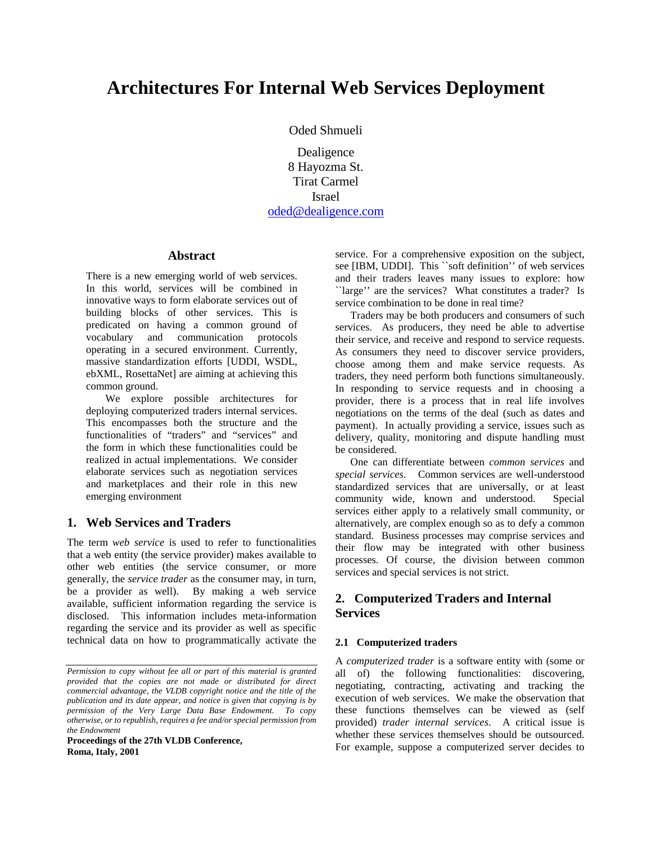# **Architectures For Internal Web Services Deployment**

Oded Shmueli

Dealigence 8 Hayozma St. Tirat Carmel Israel oded@dealigence.com

#### **Abstract**

There is a new emerging world of web services. In this world, services will be combined in innovative ways to form elaborate services out of building blocks of other services. This is predicated on having a common ground of vocabulary and communication protocols operating in a secured environment. Currently, massive standardization efforts [UDDI, WSDL, ebXML, RosettaNet] are aiming at achieving this common ground.

We explore possible architectures for deploying computerized traders internal services. This encompasses both the structure and the functionalities of "traders" and "services" and the form in which these functionalities could be realized in actual implementations. We consider elaborate services such as negotiation services and marketplaces and their role in this new emerging environment

# **1. Web Services and Traders**

The term *web service* is used to refer to functionalities that a web entity (the service provider) makes available to other web entities (the service consumer, or more generally, the *service trader* as the consumer may, in turn, be a provider as well). By making a web service available, sufficient information regarding the service is disclosed. This information includes meta-information regarding the service and its provider as well as specific technical data on how to programmatically activate the

**Proceedings of the 27th VLDB Conference, Roma, Italy, 2001** 

service. For a comprehensive exposition on the subject, see [IBM, UDDI]. This ``soft definition'' of web services and their traders leaves many issues to explore: how ``large'' are the services? What constitutes a trader? Is service combination to be done in real time?

Traders may be both producers and consumers of such services. As producers, they need be able to advertise their service, and receive and respond to service requests. As consumers they need to discover service providers, choose among them and make service requests. As traders, they need perform both functions simultaneously. In responding to service requests and in choosing a provider, there is a process that in real life involves negotiations on the terms of the deal (such as dates and payment). In actually providing a service, issues such as delivery, quality, monitoring and dispute handling must be considered.

One can differentiate between *common services* and *special services*. Common services are well-understood standardized services that are universally, or at least community wide, known and understood. Special services either apply to a relatively small community, or alternatively, are complex enough so as to defy a common standard. Business processes may comprise services and their flow may be integrated with other business processes. Of course, the division between common services and special services is not strict.

# **2. Computerized Traders and Internal Services**

#### **2.1 Computerized traders**

A *computerized trader* is a software entity with (some or all of) the following functionalities: discovering, negotiating, contracting, activating and tracking the execution of web services. We make the observation that these functions themselves can be viewed as (self provided) *trader internal services*. A critical issue is whether these services themselves should be outsourced. For example, suppose a computerized server decides to

*Permission to copy without fee all or part of this material is granted provided that the copies are not made or distributed for direct commercial advantage, the VLDB copyright notice and the title of the publication and its date appear, and notice is given that copying is by permission of the Very Large Data Base Endowment. To copy otherwise, or to republish, requires a fee and/or special permission from the Endowment*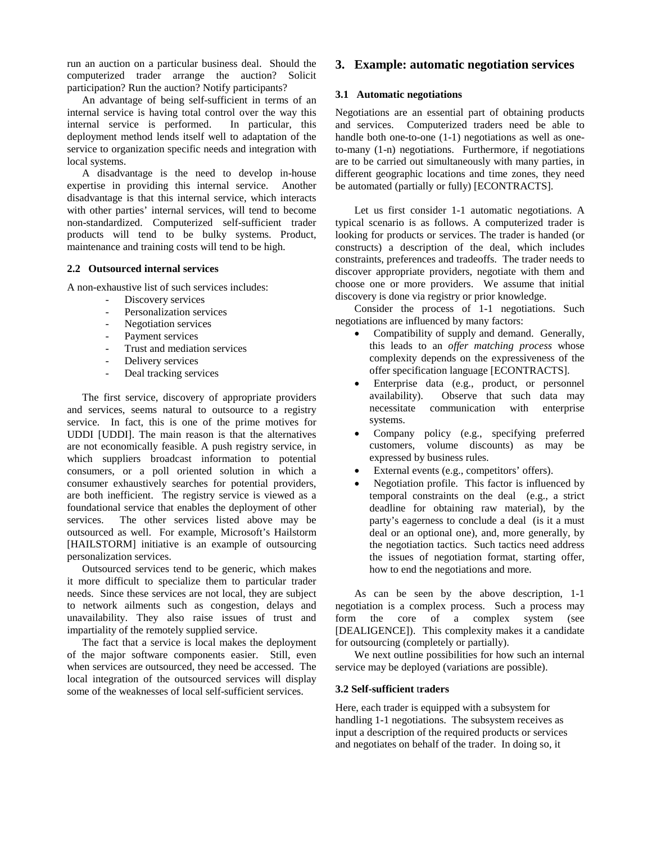run an auction on a particular business deal. Should the computerized trader arrange the auction? Solicit participation? Run the auction? Notify participants?

An advantage of being self-sufficient in terms of an internal service is having total control over the way this internal service is performed. In particular, this deployment method lends itself well to adaptation of the service to organization specific needs and integration with local systems.

A disadvantage is the need to develop in-house expertise in providing this internal service. Another disadvantage is that this internal service, which interacts with other parties' internal services, will tend to become non-standardized. Computerized self-sufficient trader products will tend to be bulky systems. Product, maintenance and training costs will tend to be high.

#### **2.2 Outsourced internal services**

A non-exhaustive list of such services includes:

- Discovery services
- Personalization services
- Negotiation services
- Payment services
- Trust and mediation services
- Delivery services
- Deal tracking services

The first service, discovery of appropriate providers and services, seems natural to outsource to a registry service. In fact, this is one of the prime motives for UDDI [UDDI]. The main reason is that the alternatives are not economically feasible. A push registry service, in which suppliers broadcast information to potential consumers, or a poll oriented solution in which a consumer exhaustively searches for potential providers, are both inefficient. The registry service is viewed as a foundational service that enables the deployment of other services. The other services listed above may be outsourced as well. For example, Microsoft's Hailstorm [HAILSTORM] initiative is an example of outsourcing personalization services.

Outsourced services tend to be generic, which makes it more difficult to specialize them to particular trader needs. Since these services are not local, they are subject to network ailments such as congestion, delays and unavailability. They also raise issues of trust and impartiality of the remotely supplied service.

The fact that a service is local makes the deployment of the major software components easier. Still, even when services are outsourced, they need be accessed. The local integration of the outsourced services will display some of the weaknesses of local self-sufficient services.

# **3. Example: automatic negotiation services**

#### **3.1 Automatic negotiations**

Negotiations are an essential part of obtaining products and services. Computerized traders need be able to handle both one-to-one (1-1) negotiations as well as oneto-many (1-n) negotiations. Furthermore, if negotiations are to be carried out simultaneously with many parties, in different geographic locations and time zones, they need be automated (partially or fully) [ECONTRACTS].

Let us first consider 1-1 automatic negotiations. A typical scenario is as follows. A computerized trader is looking for products or services. The trader is handed (or constructs) a description of the deal, which includes constraints, preferences and tradeoffs. The trader needs to discover appropriate providers, negotiate with them and choose one or more providers. We assume that initial discovery is done via registry or prior knowledge.

Consider the process of 1-1 negotiations. Such negotiations are influenced by many factors:

- Compatibility of supply and demand. Generally, this leads to an *offer matching process* whose complexity depends on the expressiveness of the offer specification language [ECONTRACTS].
- Enterprise data (e.g., product, or personnel availability). Observe that such data may necessitate communication with enterprise systems.
- Company policy (e.g., specifying preferred customers, volume discounts) as may be expressed by business rules.
- External events (e.g., competitors' offers).
- Negotiation profile. This factor is influenced by temporal constraints on the deal (e.g., a strict deadline for obtaining raw material), by the party's eagerness to conclude a deal (is it a must deal or an optional one), and, more generally, by the negotiation tactics. Such tactics need address the issues of negotiation format, starting offer, how to end the negotiations and more.

As can be seen by the above description, 1-1 negotiation is a complex process. Such a process may form the core of a complex system (see [DEALIGENCE]). This complexity makes it a candidate for outsourcing (completely or partially).

We next outline possibilities for how such an internal service may be deployed (variations are possible).

#### **3.2 Self-sufficient** t**raders**

Here, each trader is equipped with a subsystem for handling 1-1 negotiations. The subsystem receives as input a description of the required products or services and negotiates on behalf of the trader. In doing so, it